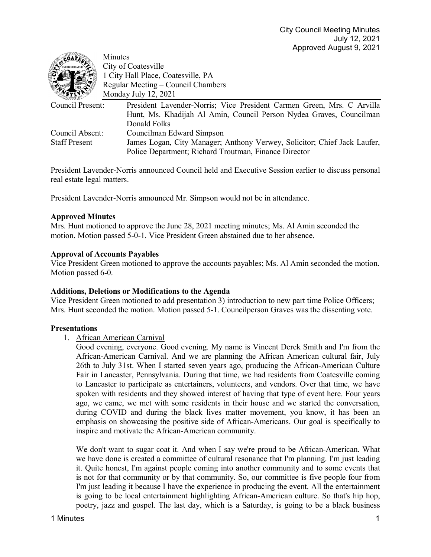| COATES!              | Minutes                                                                  |
|----------------------|--------------------------------------------------------------------------|
|                      | City of Coatesville                                                      |
|                      | 1 City Hall Place, Coatesville, PA                                       |
|                      | Regular Meeting – Council Chambers                                       |
|                      | Monday July 12, 2021                                                     |
| Council Present:     | President Lavender-Norris; Vice President Carmen Green, Mrs. C Arvilla   |
|                      | Hunt, Ms. Khadijah Al Amin, Council Person Nydea Graves, Councilman      |
|                      | Donald Folks                                                             |
| Council Absent:      | Councilman Edward Simpson                                                |
| <b>Staff Present</b> | James Logan, City Manager; Anthony Verwey, Solicitor; Chief Jack Laufer, |
|                      | Police Department; Richard Troutman, Finance Director                    |

President Lavender-Norris announced Council held and Executive Session earlier to discuss personal real estate legal matters.

President Lavender-Norris announced Mr. Simpson would not be in attendance.

## **Approved Minutes**

Mrs. Hunt motioned to approve the June 28, 2021 meeting minutes; Ms. Al Amin seconded the motion. Motion passed 5-0-1. Vice President Green abstained due to her absence.

## **Approval of Accounts Payables**

Vice President Green motioned to approve the accounts payables; Ms. Al Amin seconded the motion. Motion passed 6-0.

### **Additions, Deletions or Modifications to the Agenda**

Vice President Green motioned to add presentation 3) introduction to new part time Police Officers; Mrs. Hunt seconded the motion. Motion passed 5-1. Councilperson Graves was the dissenting vote.

### **Presentations**

1. African American Carnival

Good evening, everyone. Good evening. My name is Vincent Derek Smith and I'm from the African-American Carnival. And we are planning the African American cultural fair, July 26th to July 31st. When I started seven years ago, producing the African-American Culture Fair in Lancaster, Pennsylvania. During that time, we had residents from Coatesville coming to Lancaster to participate as entertainers, volunteers, and vendors. Over that time, we have spoken with residents and they showed interest of having that type of event here. Four years ago, we came, we met with some residents in their house and we started the conversation, during COVID and during the black lives matter movement, you know, it has been an emphasis on showcasing the positive side of African-Americans. Our goal is specifically to inspire and motivate the African-American community.

We don't want to sugar coat it. And when I say we're proud to be African-American. What we have done is created a committee of cultural resonance that I'm planning. I'm just leading it. Quite honest, I'm against people coming into another community and to some events that is not for that community or by that community. So, our committee is five people four from I'm just leading it because I have the experience in producing the event. All the entertainment is going to be local entertainment highlighting African-American culture. So that's hip hop, poetry, jazz and gospel. The last day, which is a Saturday, is going to be a black business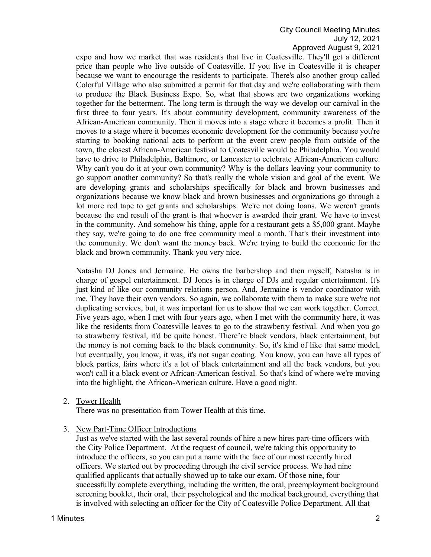expo and how we market that was residents that live in Coatesville. They'll get a different price than people who live outside of Coatesville. If you live in Coatesville it is cheaper because we want to encourage the residents to participate. There's also another group called Colorful Village who also submitted a permit for that day and we're collaborating with them to produce the Black Business Expo. So, what that shows are two organizations working together for the betterment. The long term is through the way we develop our carnival in the first three to four years. It's about community development, community awareness of the African-American community. Then it moves into a stage where it becomes a profit. Then it moves to a stage where it becomes economic development for the community because you're starting to booking national acts to perform at the event crew people from outside of the town, the closest African-American festival to Coatesville would be Philadelphia. You would have to drive to Philadelphia, Baltimore, or Lancaster to celebrate African-American culture. Why can't you do it at your own community? Why is the dollars leaving your community to go support another community? So that's really the whole vision and goal of the event. We are developing grants and scholarships specifically for black and brown businesses and organizations because we know black and brown businesses and organizations go through a lot more red tape to get grants and scholarships. We're not doing loans. We weren't grants because the end result of the grant is that whoever is awarded their grant. We have to invest in the community. And somehow his thing, apple for a restaurant gets a \$5,000 grant. Maybe they say, we're going to do one free community meal a month. That's their investment into the community. We don't want the money back. We're trying to build the economic for the black and brown community. Thank you very nice.

Natasha DJ Jones and Jermaine. He owns the barbershop and then myself, Natasha is in charge of gospel entertainment. DJ Jones is in charge of DJs and regular entertainment. It's just kind of like our community relations person. And, Jermaine is vendor coordinator with me. They have their own vendors. So again, we collaborate with them to make sure we're not duplicating services, but, it was important for us to show that we can work together. Correct. Five years ago, when I met with four years ago, when I met with the community here, it was like the residents from Coatesville leaves to go to the strawberry festival. And when you go to strawberry festival, it'd be quite honest. There're black vendors, black entertainment, but the money is not coming back to the black community. So, it's kind of like that same model, but eventually, you know, it was, it's not sugar coating. You know, you can have all types of block parties, fairs where it's a lot of black entertainment and all the back vendors, but you won't call it a black event or African-American festival. So that's kind of where we're moving into the highlight, the African-American culture. Have a good night.

2. Tower Health

There was no presentation from Tower Health at this time.

3. New Part-Time Officer Introductions

Just as we've started with the last several rounds of hire a new hires part-time officers with the City Police Department. At the request of council, we're taking this opportunity to introduce the officers, so you can put a name with the face of our most recently hired officers. We started out by proceeding through the civil service process. We had nine qualified applicants that actually showed up to take our exam. Of those nine, four successfully complete everything, including the written, the oral, preemployment background screening booklet, their oral, their psychological and the medical background, everything that is involved with selecting an officer for the City of Coatesville Police Department. All that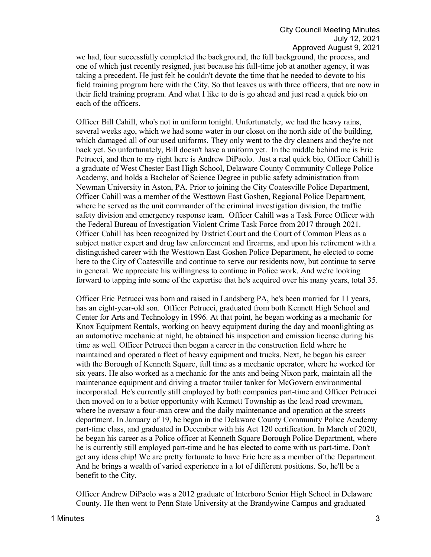we had, four successfully completed the background, the full background, the process, and one of which just recently resigned, just because his full-time job at another agency, it was taking a precedent. He just felt he couldn't devote the time that he needed to devote to his field training program here with the City. So that leaves us with three officers, that are now in their field training program. And what I like to do is go ahead and just read a quick bio on each of the officers.

Officer Bill Cahill, who's not in uniform tonight. Unfortunately, we had the heavy rains, several weeks ago, which we had some water in our closet on the north side of the building, which damaged all of our used uniforms. They only went to the dry cleaners and they're not back yet. So unfortunately, Bill doesn't have a uniform yet. In the middle behind me is Eric Petrucci, and then to my right here is Andrew DiPaolo. Just a real quick bio, Officer Cahill is a graduate of West Chester East High School, Delaware County Community College Police Academy, and holds a Bachelor of Science Degree in public safety administration from Newman University in Aston, PA. Prior to joining the City Coatesville Police Department, Officer Cahill was a member of the Westtown East Goshen, Regional Police Department, where he served as the unit commander of the criminal investigation division, the traffic safety division and emergency response team. Officer Cahill was a Task Force Officer with the Federal Bureau of Investigation Violent Crime Task Force from 2017 through 2021. Officer Cahill has been recognized by District Court and the Court of Common Pleas as a subject matter expert and drug law enforcement and firearms, and upon his retirement with a distinguished career with the Westtown East Goshen Police Department, he elected to come here to the City of Coatesville and continue to serve our residents now, but continue to serve in general. We appreciate his willingness to continue in Police work. And we're looking forward to tapping into some of the expertise that he's acquired over his many years, total 35.

Officer Eric Petrucci was born and raised in Landsberg PA, he's been married for 11 years, has an eight-year-old son. Officer Petrucci, graduated from both Kennett High School and Center for Arts and Technology in 1996. At that point, he began working as a mechanic for Knox Equipment Rentals, working on heavy equipment during the day and moonlighting as an automotive mechanic at night, he obtained his inspection and emission license during his time as well. Officer Petrucci then began a career in the construction field where he maintained and operated a fleet of heavy equipment and trucks. Next, he began his career with the Borough of Kenneth Square, full time as a mechanic operator, where he worked for six years. He also worked as a mechanic for the ants and being Nixon park, maintain all the maintenance equipment and driving a tractor trailer tanker for McGovern environmental incorporated. He's currently still employed by both companies part-time and Officer Petrucci then moved on to a better opportunity with Kennett Township as the lead road crewman, where he oversaw a four-man crew and the daily maintenance and operation at the streets department. In January of 19, he began in the Delaware County Community Police Academy part-time class, and graduated in December with his Act 120 certification. In March of 2020, he began his career as a Police officer at Kenneth Square Borough Police Department, where he is currently still employed part-time and he has elected to come with us part-time. Don't get any ideas chip! We are pretty fortunate to have Eric here as a member of the Department. And he brings a wealth of varied experience in a lot of different positions. So, he'll be a benefit to the City.

Officer Andrew DiPaolo was a 2012 graduate of Interboro Senior High School in Delaware County. He then went to Penn State University at the Brandywine Campus and graduated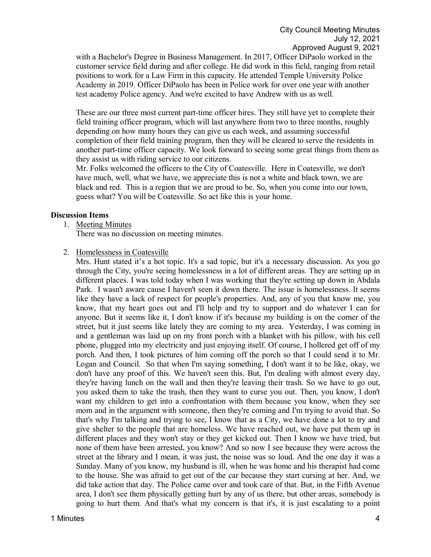with a Bachelor's Degree in Business Management. In 2017, Officer DiPaolo worked in the customer service field during and after college. He did work in this field, ranging from retail positions to work for a Law Firm in this capacity. He attended Temple University Police Academy in 2019. Officer DiPaolo has been in Police work for over one year with another test academy Police agency. And we're excited to have Andrew with us as well.

These are our three most current part-time officer hires. They still have yet to complete their field training officer program, which will last anywhere from two to three months, roughly depending on how many hours they can give us each week, and assuming successful completion of their field training program, then they will be cleared to serve the residents in another part-time officer capacity. We look forward to seeing some great things from them as they assist us with riding service to our citizens.

Mr. Folks welcomed the officers to the City of Coatesville. Here in Coatesville, we don't have much, well, what we have, we appreciate this is not a white and black town, we are black and red. This is a region that we are proud to be. So, when you come into our town, guess what? You will be Coatesville. So act like this is your home.

## **Discussion Items**

1. Meeting Minutes

There was no discussion on meeting minutes.

2. Homelessness in Coatesville

Mrs. Hunt stated it's a hot topic. It's a sad topic, but it's a necessary discussion. As you go through the City, you're seeing homelessness in a lot of different areas. They are setting up in different places. I was told today when I was working that they're setting up down in Abdala Park. I wasn't aware cause I haven't seen it down there. The issue is homelessness. It seems like they have a lack of respect for people's properties. And, any of you that know me, you know, that my heart goes out and I'll help and try to support and do whatever I can for anyone. But it seems like it, I don't know if it's because my building is on the corner of the street, but it just seems like lately they are coming to my area. Yesterday, I was coming in and a gentleman was laid up on my front porch with a blanket with his pillow, with his cell phone, plugged into my electricity and just enjoying itself. Of course, I hollered get off of my porch. And then, I took pictures of him coming off the porch so that I could send it to Mr. Logan and Council. So that when I'm saying something, I don't want it to be like, okay, we don't have any proof of this. We haven't seen this. But, I'm dealing with almost every day, they're having lunch on the wall and then they're leaving their trash. So we have to go out, you asked them to take the trash, then they want to curse you out. Then, you know, I don't want my children to get into a confrontation with them because you know, when they see mom and in the argument with someone, then they're coming and I'm trying to avoid that. So that's why I'm talking and trying to see, I know that as a City, we have done a lot to try and give shelter to the people that are homeless. We have reached out, we have put them up in different places and they won't stay or they get kicked out. Then I know we have tried, but none of them have been arrested, you know? And so now I see because they were across the street at the library and I mean, it was just, the noise was so loud. And the one day it was a Sunday. Many of you know, my husband is ill, when he was home and his therapist had come to the house. She was afraid to get out of the car because they start cursing at her. And, we did take action that day. The Police came over and took care of that. But, in the Fifth Avenue area, I don't see them physically getting hurt by any of us there, but other areas, somebody is going to hurt them. And that's what my concern is that it's, it is just escalating to a point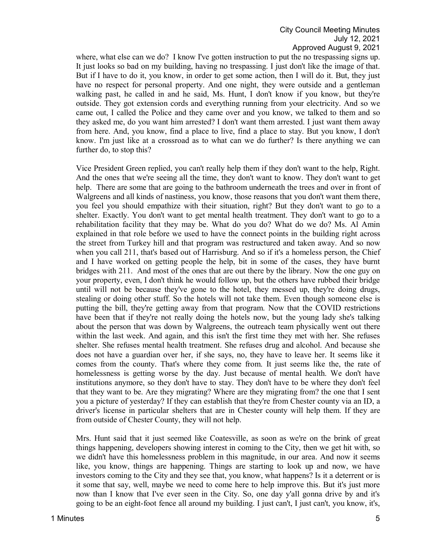where, what else can we do? I know I've gotten instruction to put the no trespassing signs up. It just looks so bad on my building, having no trespassing. I just don't like the image of that. But if I have to do it, you know, in order to get some action, then I will do it. But, they just have no respect for personal property. And one night, they were outside and a gentleman walking past, he called in and he said, Ms. Hunt, I don't know if you know, but they're outside. They got extension cords and everything running from your electricity. And so we came out, I called the Police and they came over and you know, we talked to them and so they asked me, do you want him arrested? I don't want them arrested. I just want them away from here. And, you know, find a place to live, find a place to stay. But you know, I don't know. I'm just like at a crossroad as to what can we do further? Is there anything we can further do, to stop this?

Vice President Green replied, you can't really help them if they don't want to the help, Right. And the ones that we're seeing all the time, they don't want to know. They don't want to get help. There are some that are going to the bathroom underneath the trees and over in front of Walgreens and all kinds of nastiness, you know, those reasons that you don't want them there, you feel you should empathize with their situation, right? But they don't want to go to a shelter. Exactly. You don't want to get mental health treatment. They don't want to go to a rehabilitation facility that they may be. What do you do? What do we do? Ms. Al Amin explained in that role before we used to have the connect points in the building right across the street from Turkey hill and that program was restructured and taken away. And so now when you call 211, that's based out of Harrisburg. And so if it's a homeless person, the Chief and I have worked on getting people the help, bit in some of the cases, they have burnt bridges with 211. And most of the ones that are out there by the library. Now the one guy on your property, even, I don't think he would follow up, but the others have rubbed their bridge until will not be because they've gone to the hotel, they messed up, they're doing drugs, stealing or doing other stuff. So the hotels will not take them. Even though someone else is putting the bill, they're getting away from that program. Now that the COVID restrictions have been that if they're not really doing the hotels now, but the young lady she's talking about the person that was down by Walgreens, the outreach team physically went out there within the last week. And again, and this isn't the first time they met with her. She refuses shelter. She refuses mental health treatment. She refuses drug and alcohol. And because she does not have a guardian over her, if she says, no, they have to leave her. It seems like it comes from the county. That's where they come from. It just seems like the, the rate of homelessness is getting worse by the day. Just because of mental health. We don't have institutions anymore, so they don't have to stay. They don't have to be where they don't feel that they want to be. Are they migrating? Where are they migrating from? the one that I sent you a picture of yesterday? If they can establish that they're from Chester county via an ID, a driver's license in particular shelters that are in Chester county will help them. If they are from outside of Chester County, they will not help.

Mrs. Hunt said that it just seemed like Coatesville, as soon as we're on the brink of great things happening, developers showing interest in coming to the City, then we get hit with, so we didn't have this homelessness problem in this magnitude, in our area. And now it seems like, you know, things are happening. Things are starting to look up and now, we have investors coming to the City and they see that, you know, what happens? Is it a deterrent or is it some that say, well, maybe we need to come here to help improve this. But it's just more now than I know that I've ever seen in the City. So, one day y'all gonna drive by and it's going to be an eight-foot fence all around my building. I just can't, I just can't, you know, it's,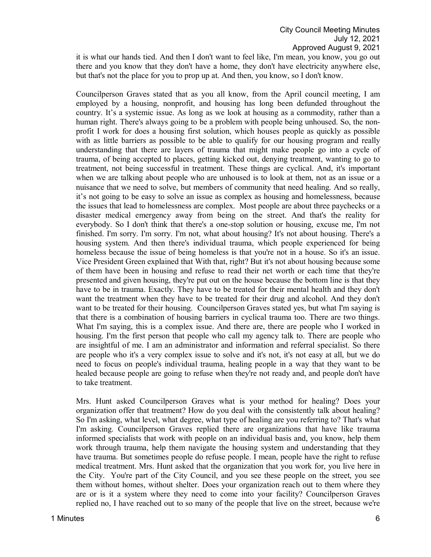it is what our hands tied. And then I don't want to feel like, I'm mean, you know, you go out there and you know that they don't have a home, they don't have electricity anywhere else, but that's not the place for you to prop up at. And then, you know, so I don't know.

Councilperson Graves stated that as you all know, from the April council meeting, I am employed by a housing, nonprofit, and housing has long been defunded throughout the country. It's a systemic issue. As long as we look at housing as a commodity, rather than a human right. There's always going to be a problem with people being unhoused. So, the nonprofit I work for does a housing first solution, which houses people as quickly as possible with as little barriers as possible to be able to qualify for our housing program and really understanding that there are layers of trauma that might make people go into a cycle of trauma, of being accepted to places, getting kicked out, denying treatment, wanting to go to treatment, not being successful in treatment. These things are cyclical. And, it's important when we are talking about people who are unhoused is to look at them, not as an issue or a nuisance that we need to solve, but members of community that need healing. And so really, it's not going to be easy to solve an issue as complex as housing and homelessness, because the issues that lead to homelessness are complex. Most people are about three paychecks or a disaster medical emergency away from being on the street. And that's the reality for everybody. So I don't think that there's a one-stop solution or housing, excuse me, I'm not finished. I'm sorry. I'm sorry. I'm not, what about housing? It's not about housing. There's a housing system. And then there's individual trauma, which people experienced for being homeless because the issue of being homeless is that you're not in a house. So it's an issue. Vice President Green explained that With that, right? But it's not about housing because some of them have been in housing and refuse to read their net worth or each time that they're presented and given housing, they're put out on the house because the bottom line is that they have to be in trauma. Exactly. They have to be treated for their mental health and they don't want the treatment when they have to be treated for their drug and alcohol. And they don't want to be treated for their housing. Councilperson Graves stated yes, but what I'm saying is that there is a combination of housing barriers in cyclical trauma too. There are two things. What I'm saying, this is a complex issue. And there are, there are people who I worked in housing. I'm the first person that people who call my agency talk to. There are people who are insightful of me. I am an administrator and information and referral specialist. So there are people who it's a very complex issue to solve and it's not, it's not easy at all, but we do need to focus on people's individual trauma, healing people in a way that they want to be healed because people are going to refuse when they're not ready and, and people don't have to take treatment.

Mrs. Hunt asked Councilperson Graves what is your method for healing? Does your organization offer that treatment? How do you deal with the consistently talk about healing? So I'm asking, what level, what degree, what type of healing are you referring to? That's what I'm asking. Councilperson Graves replied there are organizations that have like trauma informed specialists that work with people on an individual basis and, you know, help them work through trauma, help them navigate the housing system and understanding that they have trauma. But sometimes people do refuse people. I mean, people have the right to refuse medical treatment. Mrs. Hunt asked that the organization that you work for, you live here in the City. You're part of the City Council, and you see these people on the street, you see them without homes, without shelter. Does your organization reach out to them where they are or is it a system where they need to come into your facility? Councilperson Graves replied no, I have reached out to so many of the people that live on the street, because we're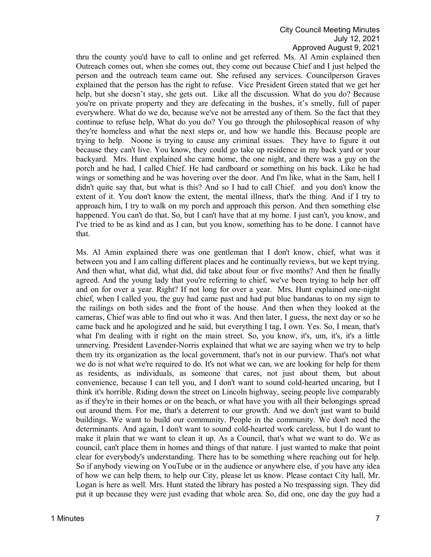thru the county you'd have to call to online and get referred. Ms. Al Amin explained then Outreach comes out, when she comes out, they come out because Chief and I just helped the person and the outreach team came out. She refused any services. Councilperson Graves explained that the person has the right to refuse. Vice President Green stated that we get her help, but she doesn't stay, she gets out. Like all the discussion. What do you do? Because you're on private property and they are defecating in the bushes, it's smelly, full of paper everywhere. What do we do, because we've not be arrested any of them. So the fact that they continue to refuse help, What do you do? You go through the philosophical reason of why they're homeless and what the next steps or, and how we handle this. Because people are trying to help. Noone is trying to cause any criminal issues. They have to figure it out because they can't live. You know, they could go take up residence in my back yard or your backyard. Mrs. Hunt explained she came home, the one night, and there was a guy on the porch and he had, I called Chief. He had cardboard or something on his back. Like he had wings or something and he was hovering over the door. And I'm like, what in the Sam, hell I didn't quite say that, but what is this? And so I had to call Chief. and you don't know the extent of it. You don't know the extent, the mental illness, that's the thing. And if I try to approach him, I try to walk on my porch and approach this person. And then something else happened. You can't do that. So, but I can't have that at my home. I just can't, you know, and I've tried to be as kind and as I can, but you know, something has to be done. I cannot have that.

Ms. Al Amin explained there was one gentleman that I don't know, chief, what was it between you and I am calling different places and he continually reviews, but we kept trying. And then what, what did, what did, did take about four or five months? And then he finally agreed. And the young lady that you're referring to chief, we've been trying to help her off and on for over a year. Right? If not long for over a year. Mrs. Hunt explained one-night chief, when I called you, the guy had came past and had put blue bandanas to on my sign to the railings on both sides and the front of the house. And then when they looked at the cameras, Chief was able to find out who it was. And then later, I guess, the next day or so he came back and he apologized and he said, but everything I tag, I own. Yes. So, I mean, that's what I'm dealing with it right on the main street. So, you know, it's, um, it's, it's a little unnerving. President Lavender-Norris explained that what we are saying when we try to help them try its organization as the local government, that's not in our purview. That's not what we do is not what we're required to do. It's not what we can, we are looking for help for them as residents, as individuals, as someone that cares, not just about them, but about convenience, because I can tell you, and I don't want to sound cold-hearted uncaring, but I think it's horrible. Riding down the street on Lincoln highway, seeing people live comparably as if they're in their homes or on the beach, or what have you with all their belongings spread out around them. For me, that's a deterrent to our growth. And we don't just want to build buildings. We want to build our community. People in the community. We don't need the determinants. And again, I don't want to sound cold-hearted work careless, but I do want to make it plain that we want to clean it up. As a Council, that's what we want to do. We as council, can't place them in homes and things of that nature. I just wanted to make that point clear for everybody's understanding. There has to be something where reaching out for help. So if anybody viewing on YouTube or in the audience or anywhere else, if you have any idea of how we can help them, to help our City, please let us know. Please contact City hall, Mr. Logan is here as well. Mrs. Hunt stated the library has posted a No trespassing sign. They did put it up because they were just evading that whole area. So, did one, one day the guy had a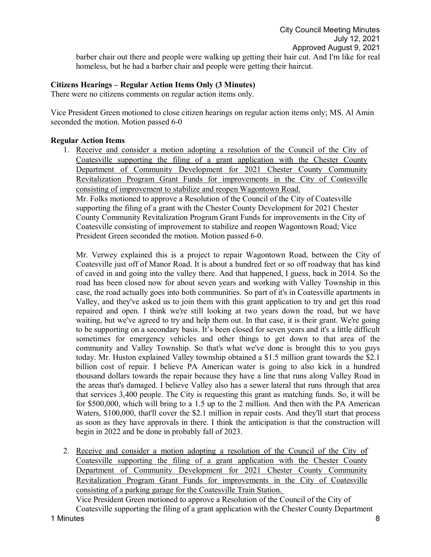barber chair out there and people were walking up getting their hair cut. And I'm like for real homeless, but he had a barber chair and people were getting their haircut.

# **Citizens Hearings – Regular Action Items Only (3 Minutes)**

There were no citizens comments on regular action items only.

Vice President Green motioned to close citizen hearings on regular action items only; MS. Al Amin seconded the motion. Motion passed 6-0

# **Regular Action Items**

1. Receive and consider a motion adopting a resolution of the Council of the City of Coatesville supporting the filing of a grant application with the Chester County Department of Community Development for 2021 Chester County Community Revitalization Program Grant Funds for improvements in the City of Coatesville consisting of improvement to stabilize and reopen Wagontown Road. Mr. Folks motioned to approve a Resolution of the Council of the City of Coatesville supporting the filing of a grant with the Chester County Development for 2021 Chester

County Community Revitalization Program Grant Funds for improvements in the City of Coatesville consisting of improvement to stabilize and reopen Wagontown Road; Vice President Green seconded the motion. Motion passed 6-0.

Mr. Verwey explained this is a project to repair Wagontown Road, between the City of Coatesville just off of Manor Road. It is about a hundred feet or so off roadway that has kind of caved in and going into the valley there. And that happened, I guess, back in 2014. So the road has been closed now for about seven years and working with Valley Township in this case, the road actually goes into both communities. So part of it's in Coatesville apartments in Valley, and they've asked us to join them with this grant application to try and get this road repaired and open. I think we're still looking at two years down the road, but we have waiting, but we've agreed to try and help them out. In that case, it is their grant. We're going to be supporting on a secondary basis. It's been closed for seven years and it's a little difficult sometimes for emergency vehicles and other things to get down to that area of the community and Valley Township. So that's what we've done is brought this to you guys today. Mr. Huston explained Valley township obtained a \$1.5 million grant towards the \$2.1 billion cost of repair. I believe PA American water is going to also kick in a hundred thousand dollars towards the repair because they have a line that runs along Valley Road in the areas that's damaged. I believe Valley also has a sewer lateral that runs through that area that services 3,400 people. The City is requesting this grant as matching funds. So, it will be for \$500,000, which will bring to a 1.5 up to the 2 million. And then with the PA American Waters, \$100,000, that'll cover the \$2.1 million in repair costs. And they'll start that process as soon as they have approvals in there. I think the anticipation is that the construction will begin in 2022 and be done in probably fall of 2023.

2. Receive and consider a motion adopting a resolution of the Council of the City of Coatesville supporting the filing of a grant application with the Chester County Department of Community Development for 2021 Chester County Community Revitalization Program Grant Funds for improvements in the City of Coatesville consisting of a parking garage for the Coatesville Train Station.

1 Minutes 8 Vice President Green motioned to approve a Resolution of the Council of the City of Coatesville supporting the filing of a grant application with the Chester County Department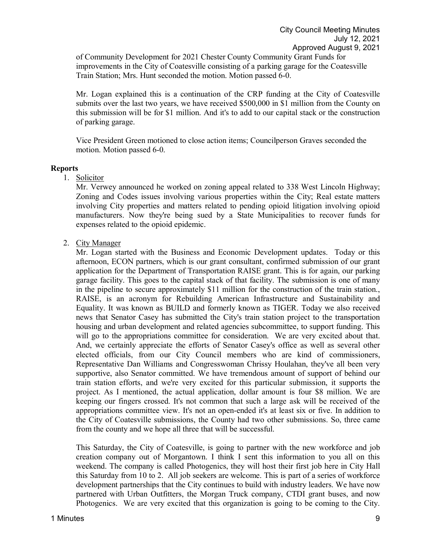of Community Development for 2021 Chester County Community Grant Funds for improvements in the City of Coatesville consisting of a parking garage for the Coatesville Train Station; Mrs. Hunt seconded the motion. Motion passed 6-0.

Mr. Logan explained this is a continuation of the CRP funding at the City of Coatesville submits over the last two years, we have received \$500,000 in \$1 million from the County on this submission will be for \$1 million. And it's to add to our capital stack or the construction of parking garage.

Vice President Green motioned to close action items; Councilperson Graves seconded the motion. Motion passed 6-0.

### **Reports**

1. Solicitor

Mr. Verwey announced he worked on zoning appeal related to 338 West Lincoln Highway; Zoning and Codes issues involving various properties within the City; Real estate matters involving City properties and matters related to pending opioid litigation involving opioid manufacturers. Now they're being sued by a State Municipalities to recover funds for expenses related to the opioid epidemic.

2. City Manager

Mr. Logan started with the Business and Economic Development updates. Today or this afternoon, ECON partners, which is our grant consultant, confirmed submission of our grant application for the Department of Transportation RAISE grant. This is for again, our parking garage facility. This goes to the capital stack of that facility. The submission is one of many in the pipeline to secure approximately \$11 million for the construction of the train station., RAISE, is an acronym for Rebuilding American Infrastructure and Sustainability and Equality. It was known as BUILD and formerly known as TIGER. Today we also received news that Senator Casey has submitted the City's train station project to the transportation housing and urban development and related agencies subcommittee, to support funding. This will go to the appropriations committee for consideration. We are very excited about that. And, we certainly appreciate the efforts of Senator Casey's office as well as several other elected officials, from our City Council members who are kind of commissioners, Representative Dan Williams and Congresswoman Chrissy Houlahan, they've all been very supportive, also Senator committed. We have tremendous amount of support of behind our train station efforts, and we're very excited for this particular submission, it supports the project. As I mentioned, the actual application, dollar amount is four \$8 million. We are keeping our fingers crossed. It's not common that such a large ask will be received of the appropriations committee view. It's not an open-ended it's at least six or five. In addition to the City of Coatesville submissions, the County had two other submissions. So, three came from the county and we hope all three that will be successful.

This Saturday, the City of Coatesville, is going to partner with the new workforce and job creation company out of Morgantown. I think I sent this information to you all on this weekend. The company is called Photogenics, they will host their first job here in City Hall this Saturday from 10 to 2. All job seekers are welcome. This is part of a series of workforce development partnerships that the City continues to build with industry leaders. We have now partnered with Urban Outfitters, the Morgan Truck company, CTDI grant buses, and now Photogenics. We are very excited that this organization is going to be coming to the City.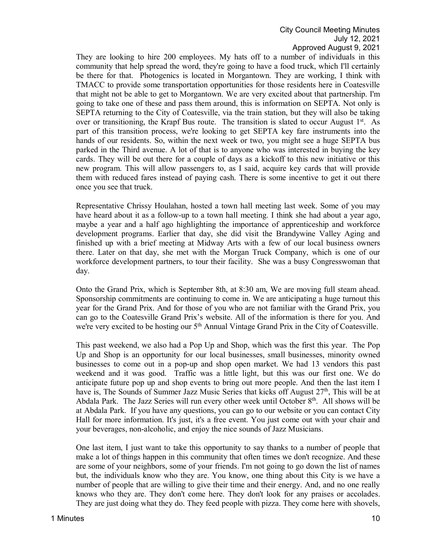They are looking to hire 200 employees. My hats off to a number of individuals in this community that help spread the word, they're going to have a food truck, which I'll certainly be there for that. Photogenics is located in Morgantown. They are working, I think with TMACC to provide some transportation opportunities for those residents here in Coatesville that might not be able to get to Morgantown. We are very excited about that partnership. I'm going to take one of these and pass them around, this is information on SEPTA. Not only is SEPTA returning to the City of Coatesville, via the train station, but they will also be taking over or transitioning, the Krapf Bus route. The transition is slated to occur August  $1<sup>st</sup>$ . As part of this transition process, we're looking to get SEPTA key fare instruments into the hands of our residents. So, within the next week or two, you might see a huge SEPTA bus parked in the Third avenue. A lot of that is to anyone who was interested in buying the key cards. They will be out there for a couple of days as a kickoff to this new initiative or this new program. This will allow passengers to, as I said, acquire key cards that will provide them with reduced fares instead of paying cash. There is some incentive to get it out there once you see that truck.

Representative Chrissy Houlahan, hosted a town hall meeting last week. Some of you may have heard about it as a follow-up to a town hall meeting. I think she had about a year ago, maybe a year and a half ago highlighting the importance of apprenticeship and workforce development programs. Earlier that day, she did visit the Brandywine Valley Aging and finished up with a brief meeting at Midway Arts with a few of our local business owners there. Later on that day, she met with the Morgan Truck Company, which is one of our workforce development partners, to tour their facility. She was a busy Congresswoman that day.

Onto the Grand Prix, which is September 8th, at 8:30 am, We are moving full steam ahead. Sponsorship commitments are continuing to come in. We are anticipating a huge turnout this year for the Grand Prix. And for those of you who are not familiar with the Grand Prix, you can go to the Coatesville Grand Prix's website. All of the information is there for you. And we're very excited to be hosting our 5<sup>th</sup> Annual Vintage Grand Prix in the City of Coatesville.

This past weekend, we also had a Pop Up and Shop, which was the first this year. The Pop Up and Shop is an opportunity for our local businesses, small businesses, minority owned businesses to come out in a pop-up and shop open market. We had 13 vendors this past weekend and it was good. Traffic was a little light, but this was our first one. We do anticipate future pop up and shop events to bring out more people. And then the last item I have is, The Sounds of Summer Jazz Music Series that kicks off August 27<sup>th</sup>, This will be at Abdala Park. The Jazz Series will run every other week until October  $8<sup>th</sup>$ . All shows will be at Abdala Park. If you have any questions, you can go to our website or you can contact City Hall for more information. It's just, it's a free event. You just come out with your chair and your beverages, non-alcoholic, and enjoy the nice sounds of Jazz Musicians.

One last item, I just want to take this opportunity to say thanks to a number of people that make a lot of things happen in this community that often times we don't recognize. And these are some of your neighbors, some of your friends. I'm not going to go down the list of names but, the individuals know who they are. You know, one thing about this City is we have a number of people that are willing to give their time and their energy. And, and no one really knows who they are. They don't come here. They don't look for any praises or accolades. They are just doing what they do. They feed people with pizza. They come here with shovels,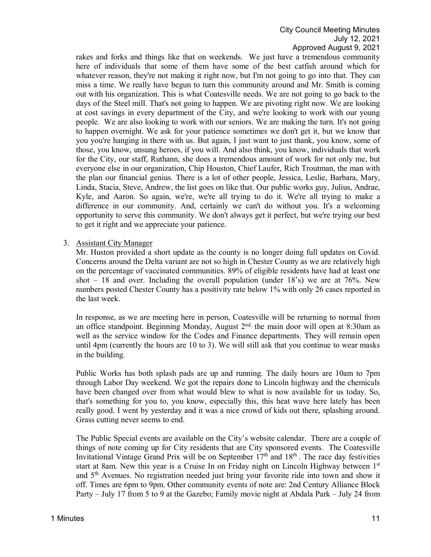rakes and forks and things like that on weekends. We just have a tremendous community here of individuals that some of them have some of the best catfish around which for whatever reason, they're not making it right now, but I'm not going to go into that. They can miss a time. We really have begun to turn this community around and Mr. Smith is coming out with his organization. This is what Coatesville needs. We are not going to go back to the days of the Steel mill. That's not going to happen. We are pivoting right now. We are looking at cost savings in every department of the City, and we're looking to work with our young people. We are also looking to work with our seniors. We are making the turn. It's not going to happen overnight. We ask for your patience sometimes we don't get it, but we know that you you're hanging in there with us. But again, I just want to just thank, you know, some of those, you know, unsung heroes, if you will. And also think, you know, individuals that work for the City, our staff, Ruthann, she does a tremendous amount of work for not only me, but everyone else in our organization, Chip Houston, Chief Laufer, Rich Troutman, the man with the plan our financial genius. There is a lot of other people, Jessica, Leslie, Barbara, Mary, Linda, Stacia, Steve, Andrew, the list goes on like that. Our public works guy, Julius, Andrae, Kyle, and Aaron. So again, we're, we're all trying to do it. We're all trying to make a difference in our community. And, certainly we can't do without you. It's a welcoming opportunity to serve this community. We don't always get it perfect, but we're trying our best to get it right and we appreciate your patience.

## 3. Assistant City Manager

Mr. Huston provided a short update as the county is no longer doing full updates on Covid. Concerns around the Delta variant are not so high in Chester County as we are relatively high on the percentage of vaccinated communities. 89% of eligible residents have had at least one shot  $-18$  and over. Including the overall population (under  $18$ 's) we are at 76%. New numbers posted Chester County has a positivity rate below 1% with only 26 cases reported in the last week.

In response, as we are meeting here in person, Coatesville will be returning to normal from an office standpoint. Beginning Monday, August  $2<sup>nd</sup>$ , the main door will open at 8:30am as well as the service window for the Codes and Finance departments. They will remain open until 4pm (currently the hours are 10 to 3). We will still ask that you continue to wear masks in the building.

Public Works has both splash pads are up and running. The daily hours are 10am to 7pm through Labor Day weekend. We got the repairs done to Lincoln highway and the chemicals have been changed over from what would blew to what is now available for us today. So, that's something for you to, you know, especially this, this heat wave here lately has been really good. I went by yesterday and it was a nice crowd of kids out there, splashing around. Grass cutting never seems to end.

The Public Special events are available on the City's website calendar. There are a couple of things of note coming up for City residents that are City sponsored events. The Coatesville Invitational Vintage Grand Prix will be on September  $17<sup>th</sup>$  and  $18<sup>th</sup>$ . The race day festivities start at 8am. New this year is a Cruise In on Friday night on Lincoln Highway between  $1<sup>st</sup>$ and 5th Avenues. No registration needed just bring your favorite ride into town and show it off. Times are 6pm to 9pm. Other community events of note are: 2nd Century Alliance Block Party – July 17 from 5 to 9 at the Gazebo; Family movie night at Abdala Park – July 24 from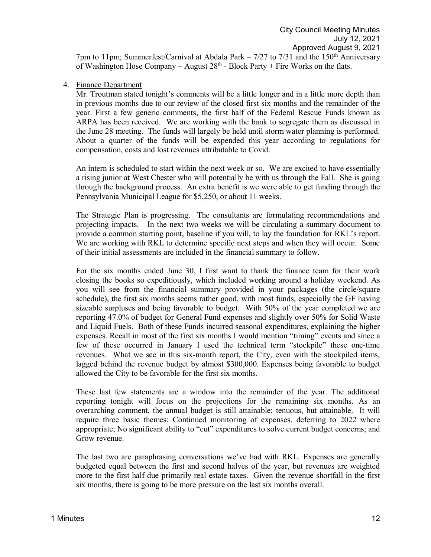# 4. Finance Department

Mr. Troutman stated tonight's comments will be a little longer and in a little more depth than in previous months due to our review of the closed first six months and the remainder of the year. First a few generic comments, the first half of the Federal Rescue Funds known as ARPA has been received. We are working with the bank to segregate them as discussed in the June 28 meeting. The funds will largely be held until storm water planning is performed. About a quarter of the funds will be expended this year according to regulations for compensation, costs and lost revenues attributable to Covid.

An intern is scheduled to start within the next week or so. We are excited to have essentially a rising junior at West Chester who will potentially be with us through the Fall. She is going through the background process. An extra benefit is we were able to get funding through the Pennsylvania Municipal League for \$5,250, or about 11 weeks.

The Strategic Plan is progressing. The consultants are formulating recommendations and projecting impacts. In the next two weeks we will be circulating a summary document to provide a common starting point, baseline if you will, to lay the foundation for RKL's report. We are working with RKL to determine specific next steps and when they will occur. Some of their initial assessments are included in the financial summary to follow.

For the six months ended June 30, I first want to thank the finance team for their work closing the books so expeditiously, which included working around a holiday weekend. As you will see from the financial summary provided in your packages (the circle/square schedule), the first six months seems rather good, with most funds, especially the GF having sizeable surpluses and being favorable to budget. With 50% of the year completed we are reporting 47.0% of budget for General Fund expenses and slightly over 50% for Solid Waste and Liquid Fuels. Both of these Funds incurred seasonal expenditures, explaining the higher expenses. Recall in most of the first six months I would mention "timing" events and since a few of these occurred in January I used the technical term "stockpile" these one-time revenues. What we see in this six-month report, the City, even with the stockpiled items, lagged behind the revenue budget by almost \$300,000. Expenses being favorable to budget allowed the City to be favorable for the first six months.

These last few statements are a window into the remainder of the year. The additional reporting tonight will focus on the projections for the remaining six months. As an overarching comment, the annual budget is still attainable; tenuous, but attainable. It will require three basic themes: Continued monitoring of expenses, deferring to 2022 where appropriate; No significant ability to "cut" expenditures to solve current budget concerns; and Grow revenue.

The last two are paraphrasing conversations we've had with RKL. Expenses are generally budgeted equal between the first and second halves of the year, but revenues are weighted more to the first half due primarily real estate taxes. Given the revenue shortfall in the first six months, there is going to be more pressure on the last six months overall.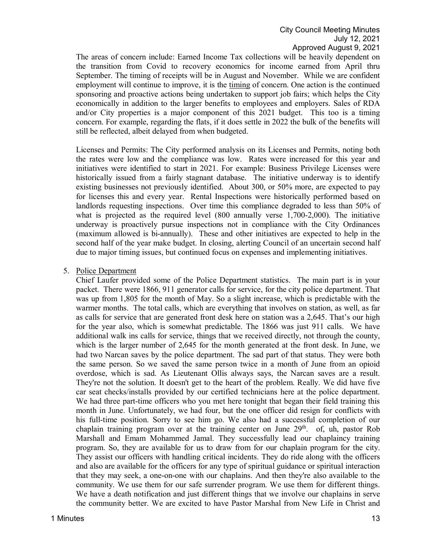The areas of concern include: Earned Income Tax collections will be heavily dependent on the transition from Covid to recovery economics for income earned from April thru September. The timing of receipts will be in August and November. While we are confident employment will continue to improve, it is the timing of concern. One action is the continued sponsoring and proactive actions being undertaken to support job fairs; which helps the City economically in addition to the larger benefits to employees and employers. Sales of RDA and/or City properties is a major component of this 2021 budget. This too is a timing concern. For example, regarding the flats, if it does settle in 2022 the bulk of the benefits will still be reflected, albeit delayed from when budgeted.

Licenses and Permits: The City performed analysis on its Licenses and Permits, noting both the rates were low and the compliance was low. Rates were increased for this year and initiatives were identified to start in 2021. For example: Business Privilege Licenses were historically issued from a fairly stagnant database. The initiative underway is to identify existing businesses not previously identified. About 300, or 50% more, are expected to pay for licenses this and every year. Rental Inspections were historically performed based on landlords requesting inspections. Over time this compliance degraded to less than 50% of what is projected as the required level (800 annually verse 1,700-2,000). The initiative underway is proactively pursue inspections not in compliance with the City Ordinances (maximum allowed is bi-annually). These and other initiatives are expected to help in the second half of the year make budget. In closing, alerting Council of an uncertain second half due to major timing issues, but continued focus on expenses and implementing initiatives.

## 5. Police Department

Chief Laufer provided some of the Police Department statistics. The main part is in your packet. There were 1866, 911 generator calls for service, for the city police department. That was up from 1,805 for the month of May. So a slight increase, which is predictable with the warmer months. The total calls, which are everything that involves on station, as well, as far as calls for service that are generated front desk here on station was a 2,645. That's our high for the year also, which is somewhat predictable. The 1866 was just 911 calls. We have additional walk ins calls for service, things that we received directly, not through the county, which is the larger number of 2,645 for the month generated at the front desk. In June, we had two Narcan saves by the police department. The sad part of that status. They were both the same person. So we saved the same person twice in a month of June from an opioid overdose, which is sad. As Lieutenant Ollis always says, the Narcan saves are a result. They're not the solution. It doesn't get to the heart of the problem. Really. We did have five car seat checks/installs provided by our certified technicians here at the police department. We had three part-time officers who you met here tonight that began their field training this month in June. Unfortunately, we had four, but the one officer did resign for conflicts with his full-time position. Sorry to see him go. We also had a successful completion of our chaplain training program over at the training center on June  $29<sup>th</sup>$ . of, uh, pastor Rob Marshall and Emam Mohammed Jamal. They successfully lead our chaplaincy training program. So, they are available for us to draw from for our chaplain program for the city. They assist our officers with handling critical incidents. They do ride along with the officers and also are available for the officers for any type of spiritual guidance or spiritual interaction that they may seek, a one-on-one with our chaplains. And then they're also available to the community. We use them for our safe surrender program. We use them for different things. We have a death notification and just different things that we involve our chaplains in serve the community better. We are excited to have Pastor Marshal from New Life in Christ and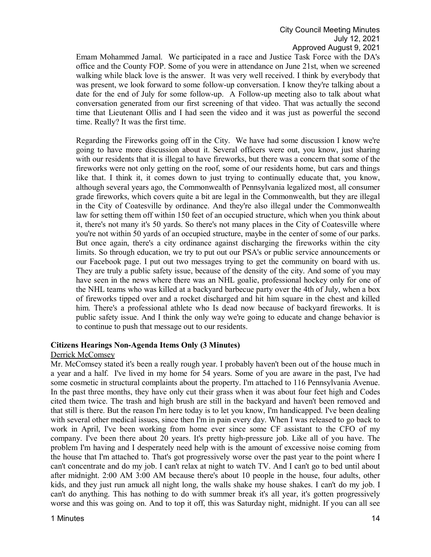Emam Mohammed Jamal. We participated in a race and Justice Task Force with the DA's office and the County FOP. Some of you were in attendance on June 21st, when we screened walking while black love is the answer. It was very well received. I think by everybody that was present, we look forward to some follow-up conversation. I know they're talking about a date for the end of July for some follow-up. A Follow-up meeting also to talk about what conversation generated from our first screening of that video. That was actually the second time that Lieutenant Ollis and I had seen the video and it was just as powerful the second time. Really? It was the first time.

Regarding the Fireworks going off in the City. We have had some discussion I know we're going to have more discussion about it. Several officers were out, you know, just sharing with our residents that it is illegal to have fireworks, but there was a concern that some of the fireworks were not only getting on the roof, some of our residents home, but cars and things like that. I think it, it comes down to just trying to continually educate that, you know, although several years ago, the Commonwealth of Pennsylvania legalized most, all consumer grade fireworks, which covers quite a bit are legal in the Commonwealth, but they are illegal in the City of Coatesville by ordinance. And they're also illegal under the Commonwealth law for setting them off within 150 feet of an occupied structure, which when you think about it, there's not many it's 50 yards. So there's not many places in the City of Coatesville where you're not within 50 yards of an occupied structure, maybe in the center of some of our parks. But once again, there's a city ordinance against discharging the fireworks within the city limits. So through education, we try to put out our PSA's or public service announcements or our Facebook page. I put out two messages trying to get the community on board with us. They are truly a public safety issue, because of the density of the city. And some of you may have seen in the news where there was an NHL goalie, professional hockey only for one of the NHL teams who was killed at a backyard barbecue party over the 4th of July, when a box of fireworks tipped over and a rocket discharged and hit him square in the chest and killed him. There's a professional athlete who Is dead now because of backyard fireworks. It is public safety issue. And I think the only way we're going to educate and change behavior is to continue to push that message out to our residents.

# **Citizens Hearings Non-Agenda Items Only (3 Minutes)**

### Derrick McComsey

Mr. McComsey stated it's been a really rough year. I probably haven't been out of the house much in a year and a half. I've lived in my home for 54 years. Some of you are aware in the past, I've had some cosmetic in structural complaints about the property. I'm attached to 116 Pennsylvania Avenue. In the past three months, they have only cut their grass when it was about four feet high and Codes cited them twice. The trash and high brush are still in the backyard and haven't been removed and that still is there. But the reason I'm here today is to let you know, I'm handicapped. I've been dealing with several other medical issues, since then I'm in pain every day. When I was released to go back to work in April, I've been working from home ever since some CF assistant to the CFO of my company. I've been there about 20 years. It's pretty high-pressure job. Like all of you have. The problem I'm having and I desperately need help with is the amount of excessive noise coming from the house that I'm attached to. That's got progressively worse over the past year to the point where I can't concentrate and do my job. I can't relax at night to watch TV. And I can't go to bed until about after midnight. 2:00 AM 3:00 AM because there's about 10 people in the house, four adults, other kids, and they just run amuck all night long, the walls shake my house shakes. I can't do my job. I can't do anything. This has nothing to do with summer break it's all year, it's gotten progressively worse and this was going on. And to top it off, this was Saturday night, midnight. If you can all see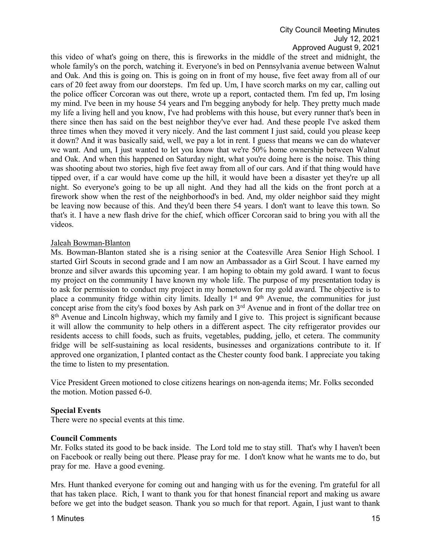this video of what's going on there, this is fireworks in the middle of the street and midnight, the whole family's on the porch, watching it. Everyone's in bed on Pennsylvania avenue between Walnut and Oak. And this is going on. This is going on in front of my house, five feet away from all of our cars of 20 feet away from our doorsteps. I'm fed up. Um, I have scorch marks on my car, calling out the police officer Corcoran was out there, wrote up a report, contacted them. I'm fed up, I'm losing my mind. I've been in my house 54 years and I'm begging anybody for help. They pretty much made my life a living hell and you know, I've had problems with this house, but every runner that's been in there since then has said on the best neighbor they've ever had. And these people I've asked them three times when they moved it very nicely. And the last comment I just said, could you please keep it down? And it was basically said, well, we pay a lot in rent. I guess that means we can do whatever we want. And um, I just wanted to let you know that we're 50% home ownership between Walnut and Oak. And when this happened on Saturday night, what you're doing here is the noise. This thing was shooting about two stories, high five feet away from all of our cars. And if that thing would have tipped over, if a car would have come up the hill, it would have been a disaster yet they're up all night. So everyone's going to be up all night. And they had all the kids on the front porch at a firework show when the rest of the neighborhood's in bed. And, my older neighbor said they might be leaving now because of this. And they'd been there 54 years. I don't want to leave this town. So that's it. I have a new flash drive for the chief, which officer Corcoran said to bring you with all the videos.

## Jaleah Bowman-Blanton

Ms. Bowman-Blanton stated she is a rising senior at the Coatesville Area Senior High School. I started Girl Scouts in second grade and I am now an Ambassador as a Girl Scout. I have earned my bronze and silver awards this upcoming year. I am hoping to obtain my gold award. I want to focus my project on the community I have known my whole life. The purpose of my presentation today is to ask for permission to conduct my project in my hometown for my gold award. The objective is to place a community fridge within city limits. Ideally 1<sup>st</sup> and 9<sup>th</sup> Avenue, the communities for just concept arise from the city's food boxes by Ash park on 3<sup>rd</sup> Avenue and in front of the dollar tree on 8<sup>th</sup> Avenue and Lincoln highway, which my family and I give to. This project is significant because it will allow the community to help others in a different aspect. The city refrigerator provides our residents access to chill foods, such as fruits, vegetables, pudding, jello, et cetera. The community fridge will be self-sustaining as local residents, businesses and organizations contribute to it. If approved one organization, I planted contact as the Chester county food bank. I appreciate you taking the time to listen to my presentation.

Vice President Green motioned to close citizens hearings on non-agenda items; Mr. Folks seconded the motion. Motion passed 6-0.

# **Special Events**

There were no special events at this time.

### **Council Comments**

Mr. Folks stated its good to be back inside. The Lord told me to stay still. That's why I haven't been on Facebook or really being out there. Please pray for me. I don't know what he wants me to do, but pray for me. Have a good evening.

Mrs. Hunt thanked everyone for coming out and hanging with us for the evening. I'm grateful for all that has taken place. Rich, I want to thank you for that honest financial report and making us aware before we get into the budget season. Thank you so much for that report. Again, I just want to thank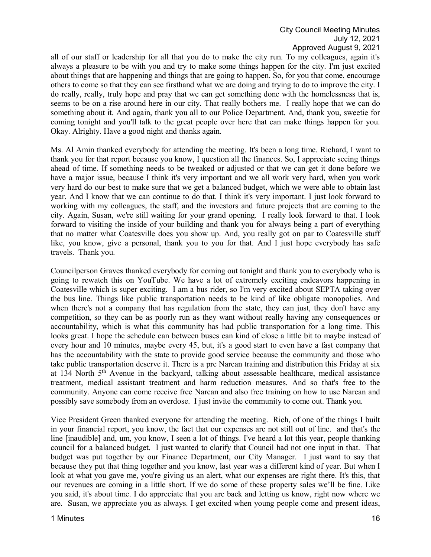all of our staff or leadership for all that you do to make the city run. To my colleagues, again it's always a pleasure to be with you and try to make some things happen for the city. I'm just excited about things that are happening and things that are going to happen. So, for you that come, encourage others to come so that they can see firsthand what we are doing and trying to do to improve the city. I do really, really, truly hope and pray that we can get something done with the homelessness that is, seems to be on a rise around here in our city. That really bothers me. I really hope that we can do something about it. And again, thank you all to our Police Department. And, thank you, sweetie for coming tonight and you'll talk to the great people over here that can make things happen for you. Okay. Alrighty. Have a good night and thanks again.

Ms. Al Amin thanked everybody for attending the meeting. It's been a long time. Richard, I want to thank you for that report because you know, I question all the finances. So, I appreciate seeing things ahead of time. If something needs to be tweaked or adjusted or that we can get it done before we have a major issue, because I think it's very important and we all work very hard, when you work very hard do our best to make sure that we get a balanced budget, which we were able to obtain last year. And I know that we can continue to do that. I think it's very important. I just look forward to working with my colleagues, the staff, and the investors and future projects that are coming to the city. Again, Susan, we're still waiting for your grand opening. I really look forward to that. I look forward to visiting the inside of your building and thank you for always being a part of everything that no matter what Coatesville does you show up. And, you really got on par to Coatesville stuff like, you know, give a personal, thank you to you for that. And I just hope everybody has safe travels. Thank you.

Councilperson Graves thanked everybody for coming out tonight and thank you to everybody who is going to rewatch this on YouTube. We have a lot of extremely exciting endeavors happening in Coatesville which is super exciting. I am a bus rider, so I'm very excited about SEPTA taking over the bus line. Things like public transportation needs to be kind of like obligate monopolies. And when there's not a company that has regulation from the state, they can just, they don't have any competition, so they can be as poorly run as they want without really having any consequences or accountability, which is what this community has had public transportation for a long time. This looks great. I hope the schedule can between buses can kind of close a little bit to maybe instead of every hour and 10 minutes, maybe every 45, but, it's a good start to even have a fast company that has the accountability with the state to provide good service because the community and those who take public transportation deserve it. There is a pre Narcan training and distribution this Friday at six at  $134$  North  $5<sup>th</sup>$  Avenue in the backyard, talking about assessable healthcare, medical assistance treatment, medical assistant treatment and harm reduction measures. And so that's free to the community. Anyone can come receive free Narcan and also free training on how to use Narcan and possibly save somebody from an overdose. I just invite the community to come out. Thank you.

Vice President Green thanked everyone for attending the meeting. Rich, of one of the things I built in your financial report, you know, the fact that our expenses are not still out of line. and that's the line [inaudible] and, um, you know, I seen a lot of things. I've heard a lot this year, people thanking council for a balanced budget. I just wanted to clarify that Council had not one input in that. That budget was put together by our Finance Department, our City Manager. I just want to say that because they put that thing together and you know, last year was a different kind of year. But when I look at what you gave me, you're giving us an alert, what our expenses are right there. It's this, that our revenues are coming in a little short. If we do some of these property sales we'll be fine. Like you said, it's about time. I do appreciate that you are back and letting us know, right now where we are. Susan, we appreciate you as always. I get excited when young people come and present ideas,